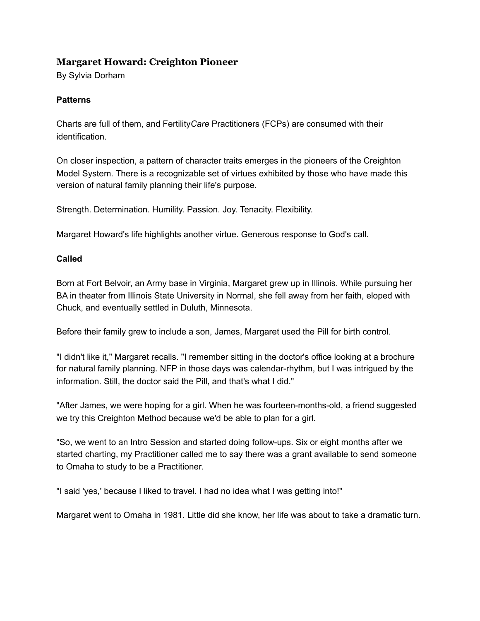# **Margaret Howard: Creighton Pioneer**

By Sylvia Dorham

## **Patterns**

Charts are full of them, and Fertility*Care* Practitioners (FCPs) are consumed with their identification.

On closer inspection, a pattern of character traits emerges in the pioneers of the Creighton Model System. There is a recognizable set of virtues exhibited by those who have made this version of natural family planning their life's purpose.

Strength. Determination. Humility. Passion. Joy. Tenacity. Flexibility.

Margaret Howard's life highlights another virtue. Generous response to God's call.

### **Called**

Born at Fort Belvoir, an Army base in Virginia, Margaret grew up in Illinois. While pursuing her BA in theater from Illinois State University in Normal, she fell away from her faith, eloped with Chuck, and eventually settled in Duluth, Minnesota.

Before their family grew to include a son, James, Margaret used the Pill for birth control.

"I didn't like it," Margaret recalls. "I remember sitting in the doctor's office looking at a brochure for natural family planning. NFP in those days was calendar-rhythm, but I was intrigued by the information. Still, the doctor said the Pill, and that's what I did."

"After James, we were hoping for a girl. When he was fourteen-months-old, a friend suggested we try this Creighton Method because we'd be able to plan for a girl.

"So, we went to an Intro Session and started doing follow-ups. Six or eight months after we started charting, my Practitioner called me to say there was a grant available to send someone to Omaha to study to be a Practitioner.

"I said 'yes,' because I liked to travel. I had no idea what I was getting into!"

Margaret went to Omaha in 1981. Little did she know, her life was about to take a dramatic turn.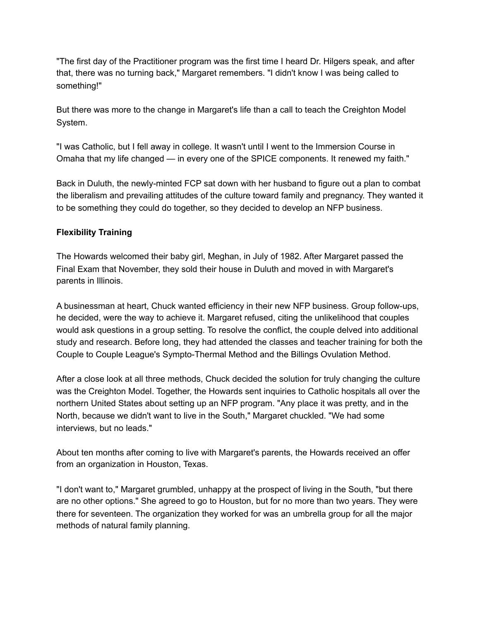"The first day of the Practitioner program was the first time I heard Dr. Hilgers speak, and after that, there was no turning back," Margaret remembers. "I didn't know I was being called to something!"

But there was more to the change in Margaret's life than a call to teach the Creighton Model System.

"I was Catholic, but I fell away in college. It wasn't until I went to the Immersion Course in Omaha that my life changed — in every one of the SPICE components. It renewed my faith."

Back in Duluth, the newly-minted FCP sat down with her husband to figure out a plan to combat the liberalism and prevailing attitudes of the culture toward family and pregnancy. They wanted it to be something they could do together, so they decided to develop an NFP business.

## **Flexibility Training**

The Howards welcomed their baby girl, Meghan, in July of 1982. After Margaret passed the Final Exam that November, they sold their house in Duluth and moved in with Margaret's parents in Illinois.

A businessman at heart, Chuck wanted efficiency in their new NFP business. Group follow-ups, he decided, were the way to achieve it. Margaret refused, citing the unlikelihood that couples would ask questions in a group setting. To resolve the conflict, the couple delved into additional study and research. Before long, they had attended the classes and teacher training for both the Couple to Couple League's Sympto-Thermal Method and the Billings Ovulation Method.

After a close look at all three methods, Chuck decided the solution for truly changing the culture was the Creighton Model. Together, the Howards sent inquiries to Catholic hospitals all over the northern United States about setting up an NFP program. "Any place it was pretty, and in the North, because we didn't want to live in the South," Margaret chuckled. "We had some interviews, but no leads."

About ten months after coming to live with Margaret's parents, the Howards received an offer from an organization in Houston, Texas.

"I don't want to," Margaret grumbled, unhappy at the prospect of living in the South, "but there are no other options." She agreed to go to Houston, but for no more than two years. They were there for seventeen. The organization they worked for was an umbrella group for all the major methods of natural family planning.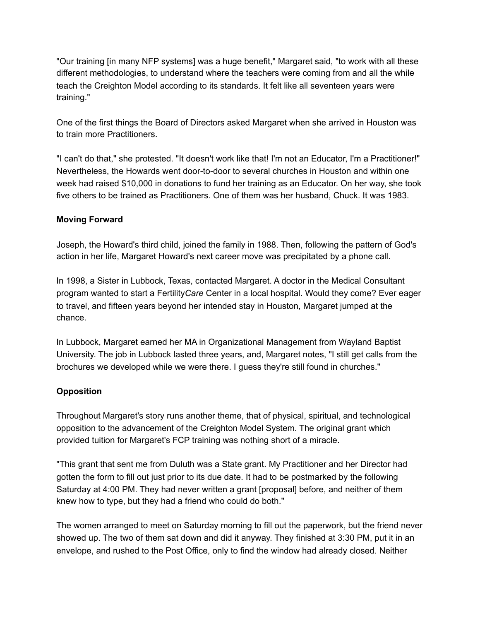"Our training [in many NFP systems] was a huge benefit," Margaret said, "to work with all these different methodologies, to understand where the teachers were coming from and all the while teach the Creighton Model according to its standards. It felt like all seventeen years were training."

One of the first things the Board of Directors asked Margaret when she arrived in Houston was to train more Practitioners.

"I can't do that," she protested. "It doesn't work like that! I'm not an Educator, I'm a Practitioner!" Nevertheless, the Howards went door-to-door to several churches in Houston and within one week had raised \$10,000 in donations to fund her training as an Educator. On her way, she took five others to be trained as Practitioners. One of them was her husband, Chuck. It was 1983.

## **Moving Forward**

Joseph, the Howard's third child, joined the family in 1988. Then, following the pattern of God's action in her life, Margaret Howard's next career move was precipitated by a phone call.

In 1998, a Sister in Lubbock, Texas, contacted Margaret. A doctor in the Medical Consultant program wanted to start a Fertility*Care* Center in a local hospital. Would they come? Ever eager to travel, and fifteen years beyond her intended stay in Houston, Margaret jumped at the chance.

In Lubbock, Margaret earned her MA in Organizational Management from Wayland Baptist University. The job in Lubbock lasted three years, and, Margaret notes, "I still get calls from the brochures we developed while we were there. I guess they're still found in churches."

# **Opposition**

Throughout Margaret's story runs another theme, that of physical, spiritual, and technological opposition to the advancement of the Creighton Model System. The original grant which provided tuition for Margaret's FCP training was nothing short of a miracle.

"This grant that sent me from Duluth was a State grant. My Practitioner and her Director had gotten the form to fill out just prior to its due date. It had to be postmarked by the following Saturday at 4:00 PM. They had never written a grant [proposal] before, and neither of them knew how to type, but they had a friend who could do both."

The women arranged to meet on Saturday morning to fill out the paperwork, but the friend never showed up. The two of them sat down and did it anyway. They finished at 3:30 PM, put it in an envelope, and rushed to the Post Office, only to find the window had already closed. Neither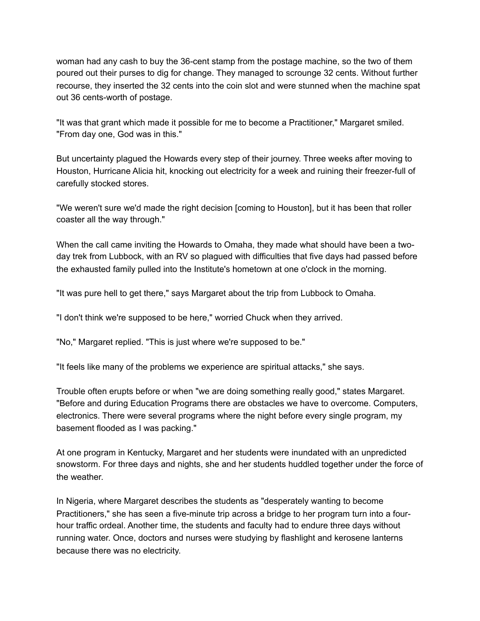woman had any cash to buy the 36-cent stamp from the postage machine, so the two of them poured out their purses to dig for change. They managed to scrounge 32 cents. Without further recourse, they inserted the 32 cents into the coin slot and were stunned when the machine spat out 36 cents-worth of postage.

"It was that grant which made it possible for me to become a Practitioner," Margaret smiled. "From day one, God was in this."

But uncertainty plagued the Howards every step of their journey. Three weeks after moving to Houston, Hurricane Alicia hit, knocking out electricity for a week and ruining their freezer-full of carefully stocked stores.

"We weren't sure we'd made the right decision [coming to Houston], but it has been that roller coaster all the way through."

When the call came inviting the Howards to Omaha, they made what should have been a twoday trek from Lubbock, with an RV so plagued with difficulties that five days had passed before the exhausted family pulled into the Institute's hometown at one o'clock in the morning.

"It was pure hell to get there," says Margaret about the trip from Lubbock to Omaha.

"I don't think we're supposed to be here," worried Chuck when they arrived.

"No," Margaret replied. "This is just where we're supposed to be."

"It feels like many of the problems we experience are spiritual attacks," she says.

Trouble often erupts before or when "we are doing something really good," states Margaret. "Before and during Education Programs there are obstacles we have to overcome. Computers, electronics. There were several programs where the night before every single program, my basement flooded as I was packing."

At one program in Kentucky, Margaret and her students were inundated with an unpredicted snowstorm. For three days and nights, she and her students huddled together under the force of the weather.

In Nigeria, where Margaret describes the students as "desperately wanting to become Practitioners," she has seen a five-minute trip across a bridge to her program turn into a fourhour traffic ordeal. Another time, the students and faculty had to endure three days without running water. Once, doctors and nurses were studying by flashlight and kerosene lanterns because there was no electricity.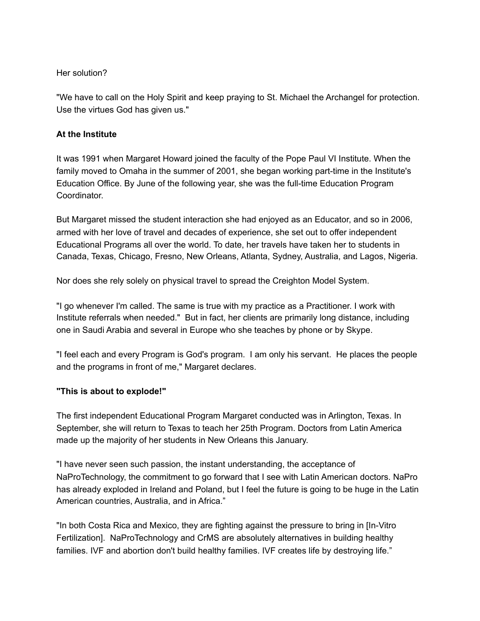### Her solution?

"We have to call on the Holy Spirit and keep praying to St. Michael the Archangel for protection. Use the virtues God has given us."

### **At the Institute**

It was 1991 when Margaret Howard joined the faculty of the Pope Paul VI Institute. When the family moved to Omaha in the summer of 2001, she began working part-time in the Institute's Education Office. By June of the following year, she was the full-time Education Program **Coordinator** 

But Margaret missed the student interaction she had enjoyed as an Educator, and so in 2006, armed with her love of travel and decades of experience, she set out to offer independent Educational Programs all over the world. To date, her travels have taken her to students in Canada, Texas, Chicago, Fresno, New Orleans, Atlanta, Sydney, Australia, and Lagos, Nigeria.

Nor does she rely solely on physical travel to spread the Creighton Model System.

"I go whenever I'm called. The same is true with my practice as a Practitioner. I work with Institute referrals when needed." But in fact, her clients are primarily long distance, including one in Saudi Arabia and several in Europe who she teaches by phone or by Skype.

"I feel each and every Program is God's program. I am only his servant. He places the people and the programs in front of me," Margaret declares.

## **"This is about to explode!"**

The first independent Educational Program Margaret conducted was in Arlington, Texas. In September, she will return to Texas to teach her 25th Program. Doctors from Latin America made up the majority of her students in New Orleans this January.

"I have never seen such passion, the instant understanding, the acceptance of NaProTechnology, the commitment to go forward that I see with Latin American doctors. NaPro has already exploded in Ireland and Poland, but I feel the future is going to be huge in the Latin American countries, Australia, and in Africa."

"In both Costa Rica and Mexico, they are fighting against the pressure to bring in [In-Vitro Fertilization]. NaProTechnology and CrMS are absolutely alternatives in building healthy families. IVF and abortion don't build healthy families. IVF creates life by destroying life."